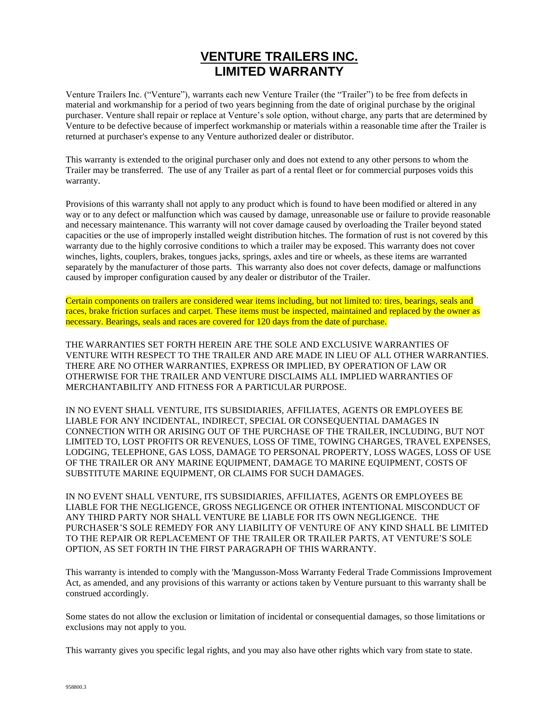## **VENTURE TRAILERS INC. LIMITED WARRANTY**

Venture Trailers Inc. ("Venture"), warrants each new Venture Trailer (the "Trailer") to be free from defects in material and workmanship for a period of two years beginning from the date of original purchase by the original purchaser. Venture shall repair or replace at Venture's sole option, without charge, any parts that are determined by Venture to be defective because of imperfect workmanship or materials within a reasonable time after the Trailer is returned at purchaser's expense to any Venture authorized dealer or distributor.

This warranty is extended to the original purchaser only and does not extend to any other persons to whom the Trailer may be transferred. The use of any Trailer as part of a rental fleet or for commercial purposes voids this warranty.

Provisions of this warranty shall not apply to any product which is found to have been modified or altered in any way or to any defect or malfunction which was caused by damage, unreasonable use or failure to provide reasonable and necessary maintenance. This warranty will not cover damage caused by overloading the Trailer beyond stated capacities or the use of improperly installed weight distribution hitches. The formation of rust is not covered by this warranty due to the highly corrosive conditions to which a trailer may be exposed. This warranty does not cover winches, lights, couplers, brakes, tongues jacks, springs, axles and tire or wheels, as these items are warranted separately by the manufacturer of those parts. This warranty also does not cover defects, damage or malfunctions caused by improper configuration caused by any dealer or distributor of the Trailer.

Certain components on trailers are considered wear items including, but not limited to: tires, bearings, seals and races, brake friction surfaces and carpet. These items must be inspected, maintained and replaced by the owner as necessary. Bearings, seals and races are covered for 120 days from the date of purchase.

THE WARRANTIES SET FORTH HEREIN ARE THE SOLE AND EXCLUSIVE WARRANTIES OF VENTURE WITH RESPECT TO THE TRAILER AND ARE MADE IN LIEU OF ALL OTHER WARRANTIES. THERE ARE NO OTHER WARRANTIES, EXPRESS OR IMPLIED, BY OPERATION OF LAW OR OTHERWISE FOR THE TRAILER AND VENTURE DISCLAIMS ALL IMPLIED WARRANTIES OF MERCHANTABILITY AND FITNESS FOR A PARTICULAR PURPOSE.

IN NO EVENT SHALL VENTURE, ITS SUBSIDIARIES, AFFILIATES, AGENTS OR EMPLOYEES BE LIABLE FOR ANY INCIDENTAL, INDIRECT, SPECIAL OR CONSEQUENTIAL DAMAGES IN CONNECTION WITH OR ARISING OUT OF THE PURCHASE OF THE TRAILER, INCLUDING, BUT NOT LIMITED TO, LOST PROFITS OR REVENUES, LOSS OF TIME, TOWING CHARGES, TRAVEL EXPENSES, LODGING, TELEPHONE, GAS LOSS, DAMAGE TO PERSONAL PROPERTY, LOSS WAGES, LOSS OF USE OF THE TRAILER OR ANY MARINE EQUIPMENT, DAMAGE TO MARINE EQUIPMENT, COSTS OF SUBSTITUTE MARINE EQUIPMENT, OR CLAIMS FOR SUCH DAMAGES.

IN NO EVENT SHALL VENTURE, ITS SUBSIDIARIES, AFFILIATES, AGENTS OR EMPLOYEES BE LIABLE FOR THE NEGLIGENCE, GROSS NEGLIGENCE OR OTHER INTENTIONAL MISCONDUCT OF ANY THIRD PARTY NOR SHALL VENTURE BE LIABLE FOR ITS OWN NEGLIGENCE. THE PURCHASER'S SOLE REMEDY FOR ANY LIABILITY OF VENTURE OF ANY KIND SHALL BE LIMITED TO THE REPAIR OR REPLACEMENT OF THE TRAILER OR TRAILER PARTS, AT VENTURE'S SOLE OPTION, AS SET FORTH IN THE FIRST PARAGRAPH OF THIS WARRANTY.

This warranty is intended to comply with the 'Mangusson-Moss Warranty Federal Trade Commissions Improvement Act, as amended, and any provisions of this warranty or actions taken by Venture pursuant to this warranty shall be construed accordingly.

Some states do not allow the exclusion or limitation of incidental or consequential damages, so those limitations or exclusions may not apply to you.

This warranty gives you specific legal rights, and you may also have other rights which vary from state to state.